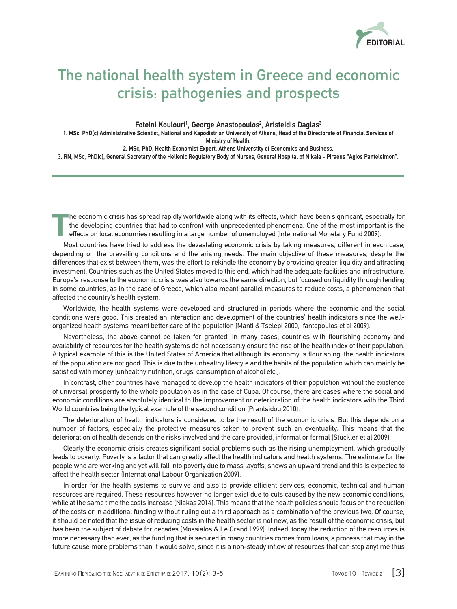

## The national health system in Greece and economic crisis: pathogenies and prospects

**Foteini Koulouri1 , George Anastopoulos2 , Aristeidis Daglas3**

**1. MSc, PhD(c) Administrative Scientist, National and Kapodistrian University of Athens, Head of the Directorate of Financial Services of Ministry of Health.**

**2. MSc, PhD, Health Economist Expert, Athens Universtity of Economics and Business.**

**3. RN, MSc, PhD(c), General Secretary of the Hellenic Regulatory Body of Nurses, General Hospital of Nikaia - Piraeus "Agios Panteleimon".**

**T** he economic crisis has spread rapidly worldwide along with its effects, which have been significant, especially for the developing countries that had to confront with unprecedented phenomena. One of the most important is the effects on local economies resulting in a large number of unemployed (International Monetary Fund 2009).

Most countries have tried to address the devastating economic crisis by taking measures, different in each case, depending on the prevailing conditions and the arising needs. The main objective of these measures, despite the differences that exist between them, was the effort to rekindle the economy by providing greater liquidity and attracting investment. Countries such as the United States moved to this end, which had the adequate facilities and infrastructure. Europe's response to the economic crisis was also towards the same direction, but focused on liquidity through lending in some countries, as in the case of Greece, which also meant parallel measures to reduce costs, a phenomenon that affected the country's health system.

Worldwide, the health systems were developed and structured in periods where the economic and the social conditions were good. This created an interaction and development of the countries' health indicators since the wellorganized health systems meant better care of the population (Manti & Tselepi 2000, Ifantopoulos et al 2009).

Nevertheless, the above cannot be taken for granted. In many cases, countries with flourishing economy and availability of resources for the health systems do not necessarily ensure the rise of the health index of their population. A typical example of this is the United States of America that although its economy is flourishing, the health indicators of the population are not good. This is due to the unhealthy lifestyle and the habits of the population which can mainly be satisfied with money (unhealthy nutrition, drugs, consumption of alcohol etc.).

In contrast, other countries have managed to develop the health indicators of their population without the existence of universal prosperity to the whole population as in the case of Cuba. Of course, there are cases where the social and economic conditions are absolutely identical to the improvement or deterioration of the health indicators with the Third World countries being the typical example of the second condition (Prantsidou 2010).

The deterioration of health indicators is considered to be the result of the economic crisis. But this depends on a number of factors, especially the protective measures taken to prevent such an eventuality. This means that the deterioration of health depends on the risks involved and the care provided, informal or formal (Stuckler et al 2009).

Clearly the economic crisis creates significant social problems such as the rising unemployment, which gradually leads to poverty. Poverty is a factor that can greatly affect the health indicators and health systems. The estimate for the people who are working and yet will fall into poverty due to mass layoffs, shows an upward trend and this is expected to affect the health sector (International Labour Organization 2009).

In order for the health systems to survive and also to provide efficient services, economic, technical and human resources are required. These resources however no longer exist due to cuts caused by the new economic conditions, while at the same time the costs increase (Niakas 2014). This means that the health policies should focus on the reduction of the costs or in additional funding without ruling out a third approach as a combination of the previous two. Of course, it should be noted that the issue of reducing costs in the health sector is not new, as the result of the economic crisis, but has been the subject of debate for decades (Mossialos & Le Grand 1999). Indeed, today the reduction of the resources is more necessary than ever, as the funding that is secured in many countries comes from loans, a process that may in the future cause more problems than it would solve, since it is a non-steady inflow of resources that can stop anytime thus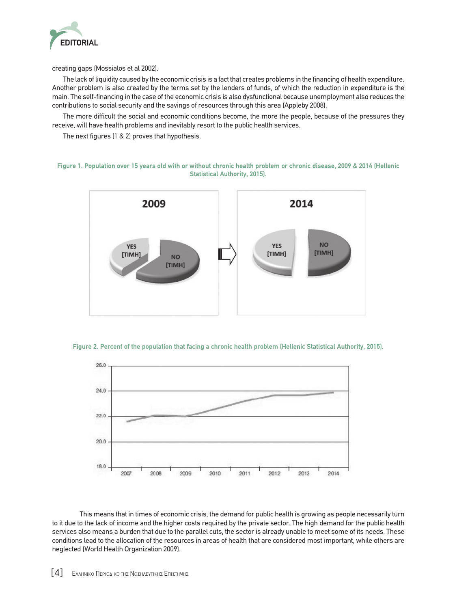

creating gaps (Mossialos et al 2002).

The lack of liquidity caused by the economic crisis is a fact that creates problems in the financing of health expenditure. Another problem is also created by the terms set by the lenders of funds, of which the reduction in expenditure is the main. The self-financing in the case of the economic crisis is also dysfunctional because unemployment also reduces the contributions to social security and the savings of resources through this area (Appleby 2008).

The more difficult the social and economic conditions become, the more the people, because of the pressures they receive, will have health problems and inevitably resort to the public health services.

The next figures (1 & 2) proves that hypothesis.

**Figure 1. Population over 15 years old with or without chronic health problem or chronic disease, 2009 & 2014 (Hellenic Statistical Authority, 2015).**







This means that in times of economic crisis, the demand for public health is growing as people necessarily turn to it due to the lack of income and the higher costs required by the private sector. The high demand for the public health services also means a burden that due to the parallel cuts, the sector is already unable to meet some of its needs. These conditions lead to the allocation of the resources in areas of health that are considered most important, while others are neglected (World Health Organization 2009).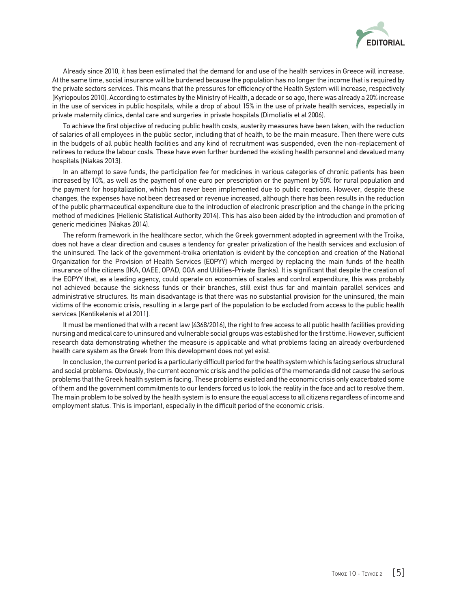

Already since 2010, it has been estimated that the demand for and use of the health services in Greece will increase. At the same time, social insurance will be burdened because the population has no longer the income that is required by the private sectors services. This means that the pressures for efficiency of the Health System will increase, respectively (Kyriopoulos 2010). According to estimates by the Ministry of Health, a decade or so ago, there was already a 20% increase in the use of services in public hospitals, while a drop of about 15% in the use of private health services, especially in private maternity clinics, dental care and surgeries in private hospitals (Dimoliatis et al 2006).

To achieve the first objective of reducing public health costs, austerity measures have been taken, with the reduction of salaries of all employees in the public sector, including that of health, to be the main measure. Then there were cuts in the budgets of all public health facilities and any kind of recruitment was suspended, even the non-replacement of retirees to reduce the labour costs. These have even further burdened the existing health personnel and devalued many hospitals (Niakas 2013).

In an attempt to save funds, the participation fee for medicines in various categories of chronic patients has been increased by 10%, as well as the payment of one euro per prescription or the payment by 50% for rural population and the payment for hospitalization, which has never been implemented due to public reactions. However, despite these changes, the expenses have not been decreased or revenue increased, although there has been results in the reduction of the public pharmaceutical expenditure due to the introduction of electronic prescription and the change in the pricing method of medicines (Hellenic Statistical Authority 2014). This has also been aided by the introduction and promotion of generic medicines (Niakas 2014).

The reform framework in the healthcare sector, which the Greek government adopted in agreement with the Troika, does not have a clear direction and causes a tendency for greater privatization of the health services and exclusion of the uninsured. The lack of the government-troika orientation is evident by the conception and creation of the National Organization for the Provision of Health Services (EOPYY) which merged by replacing the main funds of the health insurance of the citizens (IKA, OAEE, OPAD, OGA and Utilities-Private Banks). It is significant that despite the creation of the EOPYY that, as a leading agency, could operate on economies of scales and control expenditure, this was probably not achieved because the sickness funds or their branches, still exist thus far and maintain parallel services and administrative structures. Its main disadvantage is that there was no substantial provision for the uninsured, the main victims of the economic crisis, resulting in a large part of the population to be excluded from access to the public health services (Kentikelenis et al 2011).

It must be mentioned that with a recent law (4368/2016), the right to free access to all public health facilities providing nursing and medical care to uninsured and vulnerable social groups was established for the first time. However, sufficient research data demonstrating whether the measure is applicable and what problems facing an already overburdened health care system as the Greek from this development does not yet exist.

In conclusion, the current period is a particularly difficult period for the health system which is facing serious structural and social problems. Obviously, the current economic crisis and the policies of the memoranda did not cause the serious problems that the Greek health system is facing. These problems existed and the economic crisis only exacerbated some of them and the government commitments to our lenders forced us to look the reality in the face and act to resolve them. The main problem to be solved by the health system is to ensure the equal access to all citizens regardless of income and employment status. This is important, especially in the difficult period of the economic crisis.